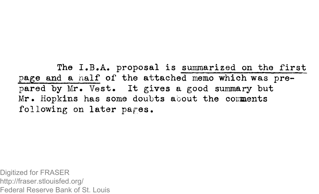The I.B.A. proposal is summarized on the first page and a naif of the attached memo which was prepared by Mr. Vest. It gives a good summary but Mr. Hopkins has some doubts about the comments following on later pages.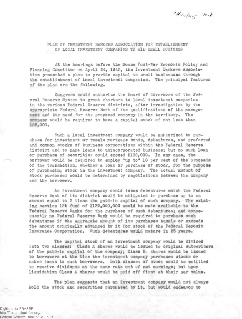H2s/45 Vest

PLAN OF INVESTMENT BANKERS ASSOCIATION FOR ESTABLISHMENT OF LOCAL INVESTMENT COMPANIES TO AID SMALL BUSINESS

At the hearings before the House Post-War Economic Policy and Planning Committes on April 24, 1945, the Investment Bankers Association presented a plan to provide capital to small businesses through the establishment of local investment companies. The principal features of the plan are the following.

Congress would authorize the Board of Governors of the Federal Reserve System to grant charters to local investment companies in the various Federal Reserve districts, after investigation by the appropriate Federal Reserve Bank of the qualifications of the managerent and the need for the proposed company in the territory. The company would be required to have a capital stock of not less than £25,000,

Such a local investment company would be ai£horizod to purchase for investment or resale mortgage bonds, debeatnres, and preferred and common stocks of business corporations within the Federal Reserve district end to make loans to unincorporated business; but no such loan or purchase of securities could exceed \$100,000, In any case, the borrower would be required to employ "up to\* 10 per cent of the proceeds of the transaction, whether a loan or purchase of stock, for the purpose of purchasing stock in the investment company. The actual amount of stock purchased would be determined by negotiations between the company and the borrower.

An investment company could issue debentures which the Federal Reserve Bank of its district would be obligated to purchase up to an amount equal to 3 times the paid-in capital of such company. The existing section l?b fund of 1179,000,000 would be made available to the Federal Reserve banks for the purchase of such debentures; and consequently no Federal Reserve Bank would be required to purchase such debentures if the aggregate amount of its purchases equals or exceeds the amount originally advanced by it for stock of the Federal Deposit Insurance Corporation. Such debentures would mature in 25 years.

The capital stock of an investment company would be divided into two classes: Class A shares would be issued to original subscribers of the paid-in capital of the company; Class B. shares would be issued to borrowers at the tlire the investment company purchases stocks or makes loans to such borrowers. Both classes of stock would be entitled to receive dividends at the same rate out of net earnings; but upon liquidation Class A shares would bo paid off first at their par valus.

The plan suggests that an investment company would not always hold the stock and securities purchased by it, but would endeavor to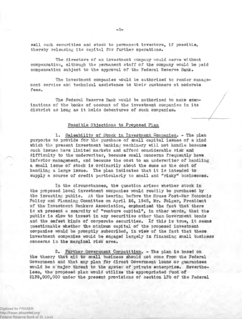sell such securities and stock to permanent investors, if possible, thereby releasing its capital for further operations.

The directors of an investment company would serve without compensation, although the permanent staff of the company would be paid compensation subject to the approval of the Federal Reserve Bank.

The investment companies would be authorized to render management service and technical assistance to their customers at moderate fees.

The Federal Reserve Bank would be authorized to make examinations of the books of account of the investment companies in its district as long as it holds debentures of such companies.

## Possible Objections to Proposed Plan

1. Saleability of Stock in Investment Companies. - The plan purports to provide for the purchase of small capital issues of a kind which the present investment banking machinery will not handle because such issues have limited markets and afford considerable risk and difficulty to the underwriter, because small concerns frequently have inferior management, and because the cost to an underwriter of handling a spall issue of stock is ordinarily about the same as the cost of handling a large issue. The plan Indicates that it is intended to supply a source of credit particularly to small and "risky\* businesses.

In the circumstances, the question arises whether stock in the proposed local investment companies would readily be purchased by the investing public. At the hearing before the Rouse Post-War Economic Policy and Planning Committee on April 26, 1945, Mr. Folger, President of the Investment Bankers Association, emphasized the fact that there is at present a scarcity of "venture capital", in other words, that the public is slow to invest in any securities other than Government bonds and the safest kinds of corporate securities. If this is true, it seems questionable whether the minimum capital of the proposed investment corpanios would be promptly subscribed, in view of the fact that these investment companies would be engaged largely in financing small business concerns in the marginal risk area.

£• Further Government Corpetition. - The plan is based on the theory that aid to small business should not come from the Federal Government and that any plan for direct Government loans or guarantees would be a major threat to the ayster of private enterprise. Nevertheless, the proposed plan would utilize the appropriated fund of \$159,000,000 under the present provisions of section 17b of the Federal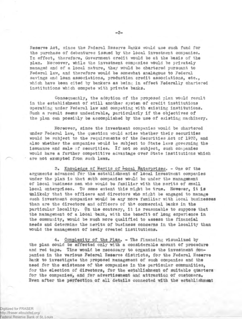Reserve Act, since the Federal Reserve Banks would use such fund for the purchase of debentures issued by the local investment companies. In effect, therefore, Government credit would be at the basis of the plan. Moreover, while the investment companies would be privately managed and of a local nature, they would be chartered pursuant to Federal law, and therefore would be somewhat analogous to Federal savings and loan associations, production credit associations, etc., which have been cited by bankers as being in effect Federally chartered institutions which compete with private banks.

Consequently, the adoption of the proposed plan would result in the establishment of still another system of credit institutions operating under federal law and competing with existing institutions. Such a result seams undesirable, particularly if the objectives of the plan can possibly be accomplished by the use of existing machinery.

Moreover, since the investment companies would be chartered under Federal law, the question would arise whether their securities would be subject to the requirements of the Securities Act of 19??, and also whether the companies would be subject to State laws governing the issuance and sale of securities. If not so subject, such companies would have a further competitive advantage over State institutions which are not exempted from such laws.

Knowledge of Merits of local Enterprises. - One of the arguments advanced for the establishment of local investment companies under the plan is that such companies would be under the management of local business men who would be familiar with the merits of amall local enterprises. To some extent this might be true. However, it is unlikely that the officers and directors who might be engaged to manage such investment companies would be any more familiar with local businesses than are the directors and officers of the commercial bunks in the particular locality. On the contrary, it is reasonable to suppose that the management of a local bank, with the benefit of long experience In the community, would be much more qualified to assess the financial needs and determine the merits of business concerns in the locality than would the management of newly created institutions.

4. Complexity of the Plan. - The financing visualized by the plan could be effected only with a considerable amount of procedure and red tape. Time would be necessary to organize the investment companies in the various Federal Reserve districts, for the Federal Reserve Bank to investigate the proposed management of such companies and the need for the existence of the companies in the particular communities, for the election of directors, for the establishment of suitable quarters for the companies, and for advertisement and attraction of customers. 2ven after the perfection of all details connected with the establishment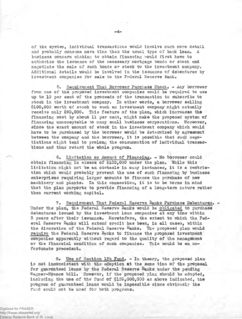of the system, individual transactions would involve much more detail and probably consume more time than the usual type of bank loan. A business concern wishing to obtain financing vould first have to authorize the issuance of the necessary mortgage bonds or stock and negotiate the sale of such bonds or stock to the investment company. Additional details would be Involved in the issuance of debentures by investment companies for sale to the Foderal Reserve Bank.

5. Requirement That Borrower Purchase Stock. - Any borrower from one of the proposed investment companies would be required to use up to 10 per cent of the prooeeds of the transaction to subscribe to stock in the investment company. In other words, a borrower selling \$100,000 worth of stock to such an investment company might actually receive only \$90,000. This feature of the plan, which increases tho financing cost by about 11 per cent, might make the proposed system of financing unacceptable to many small business corporations. Moreover, since the exact amount of stock in the investment company which would have to be purchased by the borrower would be determined by agreement between the company and the borrower, it is possible that such negotiations might tend to prolong the consummation of individual transactions and thus retard the whole program.

6. Limitation on Amount of Financing. - No borrower could obtain financing in excess of \$100,000 under the plan. While this limitation might not be an obstacle in auny instances, it is a restriction which would probably prevent the use of such financing by business enterprises requiring larger amounts to finance the purchase of new machinery and plants. In this connection, it is to be borne in wind that the plan purports to provide financing of a long-term nature rather than current working capital,

7. Requirement That Feqernl Reserve Banks Purchase Debentures. - Under the plan, the federal Reserve Banks would be obligated to purchase debentures Issued by the investment loan companies at any time within 5 years after their issuance. Heretofore, the extent to which the Federal Reserve Banks will extend credit has been, in all cases, within the discretion of the Federal Reserve Banks. The proposed plan would require the Federal Reserve Banks to finance the proposed investment companies apparently without regard to the quality of the management or the financial condition of such companies. This would be an unfortunate precedent.

8. Use of Section 13b Fund. - In theory, the proposed plan Is not inconsistent with the adoption at the same time of the proposal for guaranteed loans by the Federal Reserve Banks under the pending Wagner-Spence bill. However, if the proposed plan should be adopted, including the use of the fund of \$139,000,000 as above indicated, the program of guaranteed loans would be impossible since obviously the fund could not be used for both programs.